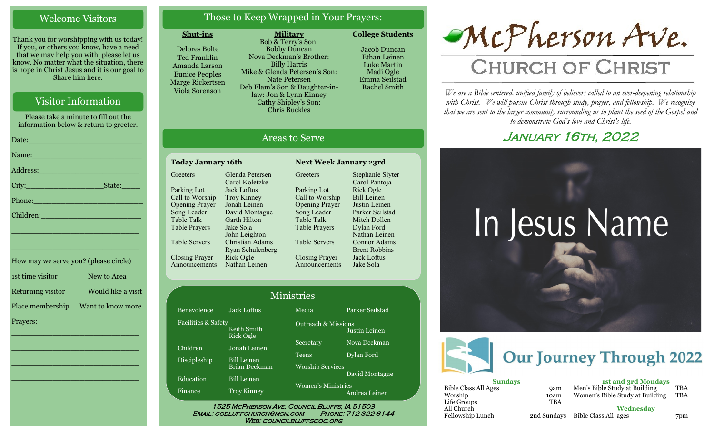#### Welcome Visitors

Thank you for worshipping with us today! If you, or others you know, have a need that we may help you with, please let us know. No matter what the situation, there is hope in Christ Jesus and it is our goal to Share him here.

#### Visitor Information

Please take a minute to fill out the information below & return to greeter.

| Name: Name and the second contract of the second contract of the second contract of the second contract of the       |
|----------------------------------------------------------------------------------------------------------------------|
| Address: 2008 - 2008 - 2010 - 2010 - 2010 - 2010 - 2010 - 2010 - 2010 - 2010 - 2010 - 2010 - 2010 - 2010 - 20        |
|                                                                                                                      |
| Phone: New York Street, New York Street, New York Street, New York Street, New York Street, New York Street, N       |
| Children: New York Children                                                                                          |
| <u> 1989 - Johann John Stein, mars ar yw y cyfan y cynnwys y cynnwys y cynnwys y cynnwys y cynnwys y cynnwys y c</u> |
|                                                                                                                      |

| How may we serve you? (please circle) |                    |
|---------------------------------------|--------------------|
| 1st time visitor                      | New to Area        |
| Returning visitor                     | Would like a visit |
| Place membership                      | Want to know more  |
| Prayers:                              |                    |

\_\_\_\_\_\_\_\_\_\_\_\_\_\_\_\_\_\_\_\_\_\_\_\_\_\_\_\_

 $\overline{\phantom{a}}$  , and the set of the set of the set of the set of the set of the set of the set of the set of the set of the set of the set of the set of the set of the set of the set of the set of the set of the set of the s

 $\overline{\phantom{a}}$  , and the set of the set of the set of the set of the set of the set of the set of the set of the set of the set of the set of the set of the set of the set of the set of the set of the set of the set of the s

\_\_\_\_\_\_\_\_\_\_\_\_\_\_\_\_\_\_\_\_\_\_\_\_\_\_\_\_

\_\_\_\_\_\_\_\_\_\_\_\_\_\_\_\_\_\_\_\_\_\_\_\_\_\_\_\_

#### Those to Keep Wrapped in Your Prayers:

**Military**

#### **Shut-ins**

Delores Bolte Ted Franklin Amanda Larson Eunice Peoples Marge Rickertsen Viola Sorenson

Bob & Terry's Son: Bobby Duncan Nova Deckman's Brother: Billy Harris Mike & Glenda Petersen's Son: Nate Petersen Deb Elam's Son & Daughter-inlaw: Jon & Lynn Kinney Cathy Shipley's Son: Chris Buckles

Jacob Duncan Ethan Leinen Luke Martin

**College Students** 

Madi Ogle Emma Seilstad Rachel Smith

#### Areas to Serve

**Greeters** 

#### **Today January 16th Next Week January 23rd Greeters** Parking Lot Call to Worship Opening Prayer Song Leader Table Talk Table Prayers Table Servers Closing Prayer Announcements Glenda Petersen Carol Koletzke Jack Loftus Troy Kinney Jonah Leinen David Montague Garth Hilton Jake Sola John Leighton Christian Adams Ryan Schulenberg Rick Ogle Nathan Leinen

Parking Lot Call to Worship Opening Prayer Song Leader Table Talk Table Prayers Table Servers Closing Prayer Announcements Stephanie Slyter Carol Pantoja Rick Ogle Bill Leinen Justin Leinen Parker Seilstad Mitch Dollen Dylan Ford Nathan Leinen Connor Adams Brent Robbins Jack Loftus Jake Sola

| <b>Ministries</b>   |                                            |                                            |                 |
|---------------------|--------------------------------------------|--------------------------------------------|-----------------|
| Benevolence         | <b>Jack Loftus</b>                         | Media                                      | Parker Seilstad |
| Facilities & Safety | Keith Smith<br><b>Rick Ogle</b>            | <b>Outreach &amp; Missions</b>             | Justin Leinen   |
| Children            | Jonah Leinen                               | Secretary                                  | Nova Deckman    |
| Discipleship        | <b>Bill Leinen</b>                         | <b>Teens</b>                               | Dylan Ford      |
| Education           | <b>Brian Deckman</b><br><b>Bill Leinen</b> | <b>Worship Services</b>                    | David Montague  |
| Finance             | <b>Troy Kinney</b>                         | <b>Women's Ministries</b><br>Andrea Leinen |                 |

Email: cobluffchurch@msn.com Phone: 712-322-8144 **WEB: COUNCILBLUFFSCOC.ORG** 

# McPherson Ave.

## **CHURCH OF CHRIST**

*We are a Bible centered, unified family of believers called to an ever-deepening relationship*  with Christ. We will pursue Christ through study, prayer, and fellowship. We recognize *that we are sent to the larger community surrounding us to plant the seed of the Gospel and to demonstrate God's love and Christ's life.*

### JANUARY 16TH, 2022





| <b>Sundays</b>       |            |  |  |  |
|----------------------|------------|--|--|--|
| Bible Class All Ages | <b>9am</b> |  |  |  |
| Worship              | 10am       |  |  |  |
| Life Groups          | <b>TBA</b> |  |  |  |
| All Church           |            |  |  |  |
| Fellowship Lunch     | 2nd Sunday |  |  |  |

| <b>1st and 3rd Mondays</b>      |     |
|---------------------------------|-----|
| Men's Bible Study at Building   | TBA |
| Women's Bible Study at Building | TBA |

**Wednesday**

Fellowship Lunch 2nd Sundays Bible Class All ages 7pm